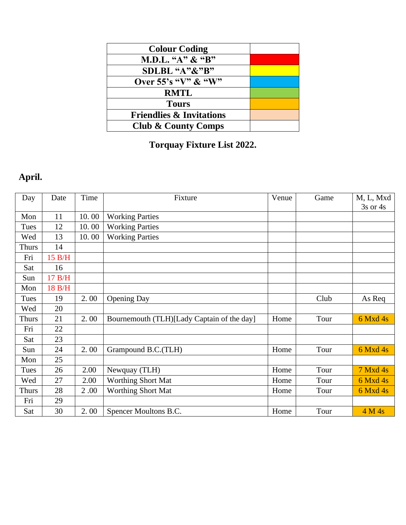| <b>Colour Coding</b>                |  |
|-------------------------------------|--|
| M.D.L. "A" & "B"                    |  |
| SDLBL "A"&"B"                       |  |
| Over 55's "V" & "W"                 |  |
| <b>RMTL</b>                         |  |
| <b>Tours</b>                        |  |
| <b>Friendlies &amp; Invitations</b> |  |
| <b>Club &amp; County Comps</b>      |  |

## **Torquay Fixture List 2022.**

# **April.**

| Day          | Date   | Time  | Fixture                                    | Venue | Game | M, L, Mxd    |
|--------------|--------|-------|--------------------------------------------|-------|------|--------------|
|              |        |       |                                            |       |      | $3s$ or $4s$ |
| Mon          | 11     | 10.00 | <b>Working Parties</b>                     |       |      |              |
| Tues         | 12     | 10.00 | <b>Working Parties</b>                     |       |      |              |
| Wed          | 13     | 10.00 | <b>Working Parties</b>                     |       |      |              |
| <b>Thurs</b> | 14     |       |                                            |       |      |              |
| Fri          | 15 B/H |       |                                            |       |      |              |
| Sat          | 16     |       |                                            |       |      |              |
| Sun          | 17 B/H |       |                                            |       |      |              |
| Mon          | 18 B/H |       |                                            |       |      |              |
| Tues         | 19     | 2.00  | <b>Opening Day</b>                         |       | Club | As Req       |
| Wed          | 20     |       |                                            |       |      |              |
| <b>Thurs</b> | 21     | 2.00  | Bournemouth (TLH)[Lady Captain of the day] | Home  | Tour | $6$ Mxd 4s   |
| Fri          | 22     |       |                                            |       |      |              |
| Sat          | 23     |       |                                            |       |      |              |
| Sun          | 24     | 2.00  | Grampound B.C. (TLH)                       | Home  | Tour | 6 Mxd 4s     |
| Mon          | 25     |       |                                            |       |      |              |
| Tues         | 26     | 2.00  | Newquay (TLH)                              | Home  | Tour | 7 Mxd 4s     |
| Wed          | 27     | 2.00  | <b>Worthing Short Mat</b>                  | Home  | Tour | 6 Mxd 4s     |
| <b>Thurs</b> | 28     | 2.00  | Worthing Short Mat                         | Home  | Tour | 6 Mxd 4s     |
| Fri          | 29     |       |                                            |       |      |              |
| Sat          | 30     | 2.00  | Spencer Moultons B.C.                      | Home  | Tour | 4 M 4s       |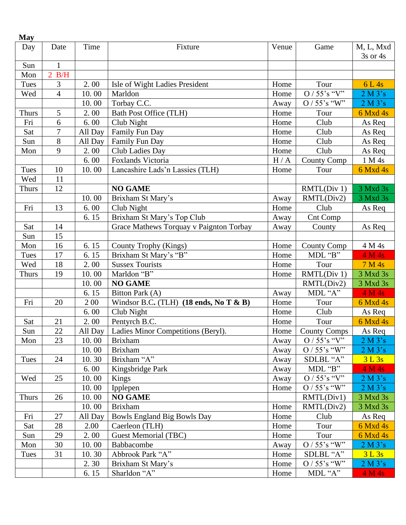| Day          | Date           | Time    | Fixture                                                   | Venue | Game                      | M, L, Mxd<br>$3s$ or $4s$ |
|--------------|----------------|---------|-----------------------------------------------------------|-------|---------------------------|---------------------------|
| Sun          | $\mathbf{1}$   |         |                                                           |       |                           |                           |
| Mon          | 2 B/H          |         |                                                           |       |                           |                           |
| Tues         | 3              | 2.00    | Isle of Wight Ladies President                            | Home  | Tour                      | 6 L 4s                    |
| Wed          | $\overline{4}$ | 10.00   | Marldon                                                   | Home  | $O / 55$ 's "V"           | 2 M 3's                   |
|              |                | 10.00   | Torbay C.C.                                               | Away  | O / 55's "W"              | 2 M 3's                   |
| <b>Thurs</b> | 5              | 2.00    | <b>Bath Post Office (TLH)</b>                             | Home  | Tour                      | 6 Mxd 4s                  |
| Fri          | 6              | 6.00    | Club Night                                                | Home  | Club                      | As Req                    |
| Sat          | $\overline{7}$ | All Day | Family Fun Day                                            | Home  | Club                      | As Req                    |
| Sun          | 8              | All Day | Family Fun Day                                            | Home  | Club                      | As Req                    |
| Mon          | 9              | 2.00    | <b>Club Ladies Day</b>                                    | Home  | Club                      | As Req                    |
|              |                | 6.00    | Foxlands Victoria                                         | H/A   | <b>County Comp</b>        | 1 M 4s                    |
| Tues         | 10             | 10.00   | Lancashire Lads'n Lassies (TLH)                           | Home  | Tour                      | 6 Mxd 4s                  |
| Wed          | 11             |         |                                                           |       |                           |                           |
|              | 12             |         | <b>NO GAME</b>                                            |       |                           | 3 Mxd 3s                  |
| <b>Thurs</b> |                | 10.00   | Brixham St Mary's                                         |       | RMTL(Div 1)<br>RMTL(Div2) |                           |
|              | 13             |         |                                                           | Away  | Club                      | 3 Mxd 3s                  |
| Fri          |                | 6.00    | Club Night                                                | Home  |                           | As Req                    |
|              |                | 6.15    | Brixham St Mary's Top Club                                | Away  | Cnt Comp                  |                           |
| Sat          | 14             |         | Grace Mathews Torquay v Paignton Torbay                   | Away  | County                    | As Req                    |
| Sun          | 15             |         |                                                           |       |                           |                           |
| Mon          | 16             | 6.15    | County Trophy (Kings)                                     | Home  | <b>County Comp</b>        | 4 M 4s                    |
| Tues         | 17             | 6.15    | Brixham St Mary's "B"                                     | Home  | $MDL$ "B"                 | 4 M 4s                    |
| Wed          | 18             | 2.00    | <b>Sussex Tourists</b>                                    | Home  | Tour                      | 7 M 4s                    |
| <b>Thurs</b> | 19             | 10.00   | Marldon "B"                                               | Home  | RMTL(Div 1)               | 3 Mxd 3s                  |
|              |                | 10.00   | <b>NO GAME</b>                                            |       | RMTL(Div2)                | 3 Mxd 3s                  |
|              |                | 6.15    | Bitton Park (A)                                           | Away  | MDL "A"                   | 4 M 4s                    |
| Fri          | 20             | 2 0 0   | Windsor B.C. (TLH) $(18 \text{ ends}, \text{No } T \& B)$ | Home  | Tour                      | 6 Mxd 4s                  |
|              |                | 6.00    | Club Night                                                | Home  | Club                      | As Req                    |
| Sat          | 21             | 2.00    | Pentyrch B.C.                                             | Home  | Tour                      | 6 Mxd 4s                  |
| Sun          | 22             | All Day | Ladies Minor Competitions (Beryl).                        | Home  | <b>County Comps</b>       | As Req                    |
| Mon          | 23             | 10.00   | <b>Brixham</b>                                            | Away  | $O / 55$ 's "V"           | 2 M 3's                   |
|              |                | 10.00   | <b>Brixham</b>                                            | Away  | O / 55's "W"              | 2 M 3's                   |
| Tues         | 24             | 10.30   | Brixham "A"                                               | Away  | SDLBL "A"                 | 3L3s                      |
|              |                | 6.00    | Kingsbridge Park                                          | Away  | MDL "B"                   | 4 M 4s                    |
| Wed          | 25             | 10.00   | Kings                                                     | Away  | $O / 55$ 's "V"           | 2 M 3's                   |
|              |                | 10.00   | Ipplepen                                                  | Home  | $O / 55$ 's "W"           | 2 M 3's                   |
| Thurs        | 26             | 10.00   | <b>NO GAME</b>                                            |       | RMTL(Div1)                | 3 Mxd 3s                  |
|              |                | 10.00   | <b>Brixham</b>                                            | Home  | RMTL(Div2)                | 3 Mxd 3s                  |
| Fri          | 27             | All Day | <b>Bowls England Big Bowls Day</b>                        | Home  | Club                      | As Req                    |
| Sat          | 28             | 2.00    | Caerleon (TLH)                                            | Home  | Tour                      | 6 Mxd 4s                  |
| Sun          | 29             | 2.00    | <b>Guest Memorial (TBC)</b>                               | Home  | Tour                      | 6 Mxd 4s                  |
| Mon          | 30             | 10.00   | Babbacombe                                                | Away  | $O / 55$ 's "W"           | 2 M 3's                   |
| Tues         | 31             | 10.30   | Abbrook Park "A"                                          | Home  | SDLBL "A"                 | 3 L 3s                    |
|              |                | 2.30    | Brixham St Mary's                                         | Home  | $O / 55$ 's "W"           | 2 M 3's                   |
|              |                | 6.15    | Sharldon "A"                                              | Home  | MDL "A"                   | 4 M 4s                    |

**May**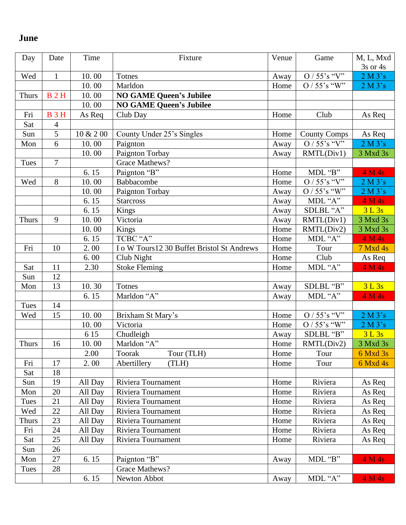## **June**

| Day          | Date           | Time      | Fixture                                     | Venue | Game                             | M, L, Mxd<br>3s or 4s |
|--------------|----------------|-----------|---------------------------------------------|-------|----------------------------------|-----------------------|
| Wed          | $\mathbf{1}$   | 10.00     | <b>Totnes</b>                               | Away  | O / $55^\circ s$ "V"             | 2 M 3's               |
|              |                | 10.00     | Marldon                                     | Home  | $O / 55$ 's "W"                  | 2 M 3's               |
| <b>Thurs</b> | <b>B2H</b>     | 10.00     | <b>NO GAME Queen's Jubilee</b>              |       |                                  |                       |
|              |                | 10.00     | <b>NO GAME Queen's Jubilee</b>              |       |                                  |                       |
| Fri          | <b>B</b> 3H    | As Req    | Club Day                                    | Home  | Club                             | As Req                |
| Sat          | $\overline{4}$ |           |                                             |       |                                  |                       |
| Sun          | $\overline{5}$ | 10 & 2 00 | County Under 25's Singles                   | Home  | <b>County Comps</b>              | As Req                |
| Mon          | 6              | 10.00     | Paignton                                    | Away  | $O / 55$ 's "V"                  | 2 M 3's               |
|              |                | 10.00     | Paignton Torbay                             | Away  | RMTL(Div1)                       | 3 Mxd 3s              |
| Tues         | $\overline{7}$ |           | Grace Mathews?                              |       |                                  |                       |
|              |                | 6.15      | Paignton "B"                                | Home  | MDL "B"                          | 4 M 4s                |
| Wed          | 8              | 10.00     | Babbacombe                                  | Home  | $O / 55$ 's "V"                  | 2 M 3's               |
|              |                | 10.00     | Paignton Torbay                             | Away  | O / 55's "W"                     | 2 M 3's               |
|              |                | 6.15      | <b>Starcross</b>                            | Away  | MDL "A"                          | 4 M 4s                |
|              |                | 6.15      | Kings                                       | Away  | SDLBL "A"                        | 3 L 3s                |
| <b>Thurs</b> | 9              | 10.00     | Victoria                                    | Away  | RMTL(Div1)                       | 3 Mxd 3s              |
|              |                | 10.00     | Kings                                       | Home  | RMTL(Div2)                       | 3 Mxd 3s              |
|              |                | 6.15      | TCBC "A"                                    | Home  | MDL "A"                          | 4 M 4s                |
| Fri          | 10             | 2.00      | I o W Tours 12 30 Buffet Bristol St Andrews | Home  | Tour                             | 7 Mxd 4s              |
|              |                | 6.00      | Club Night                                  | Home  | Club                             | As Req                |
| Sat          | 11             | 2.30      | <b>Stoke Fleming</b>                        | Home  | MDL "A"                          | 4 M 4s                |
| Sun          | 12             |           |                                             |       |                                  |                       |
| Mon          | 13             | 10.30     | Totnes                                      | Away  | SDLBL "B"                        | 3L3s                  |
|              |                | 6.15      | Marldon "A"                                 | Away  | MDL "A"                          | 4 M 4s                |
| <b>Tues</b>  | 14             |           |                                             |       |                                  |                       |
| Wed          | 15             | 10.00     | Brixham St Mary's                           | Home  | $O / 55$ 's "V"                  | 2 M 3's               |
|              |                | 10.00     | Victoria                                    | Home  | $O / 55 \overline{\text{s}}$ "W" | 2 M 3's               |
|              |                | 6 15      | Chudleigh                                   | Away  | SDLBL "B"                        | 3L3s                  |
| <b>Thurs</b> | 16             | 10.00     | Marldon "A"                                 | Home  | RMTL(Div2)                       | 3 Mxd 3s              |
|              |                | 2.00      | Toorak<br>Tour (TLH)                        | Home  | Tour                             | 6 Mxd 3s              |
| Fri          | 17             | 2.00      | Abertillery<br>(TLH)                        | Home  | Tour                             | 6 Mxd 4s              |
| Sat          | 18             |           |                                             |       |                                  |                       |
| Sun          | 19             | All Day   | Riviera Tournament                          | Home  | Riviera                          | As Req                |
| Mon          | 20             | All Day   | Riviera Tournament                          | Home  | Riviera                          | As Req                |
| Tues         | 21             | All Day   | Riviera Tournament                          | Home  | Riviera                          | As Req                |
| Wed          | 22             | All Day   | Riviera Tournament                          | Home  | Riviera                          | As Req                |
| <b>Thurs</b> | 23             | All Day   | Riviera Tournament                          | Home  | Riviera                          | As Req                |
| Fri          | 24             | All Day   | Riviera Tournament                          | Home  | Riviera                          | As Req                |
| Sat          | 25             | All Day   | Riviera Tournament                          | Home  | Riviera                          | As Req                |
| Sun          | 26             |           |                                             |       |                                  |                       |
| Mon          | 27             | 6.15      | Paignton "B"                                | Away  | MDL "B"                          | 4 M 4s                |
| Tues         | 28             |           | Grace Mathews?                              |       |                                  |                       |
|              |                | 6.15      | Newton Abbot                                | Away  | MDL "A"                          | 4 M 4s                |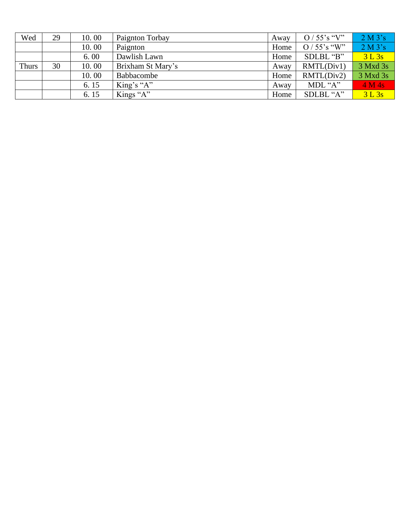| Wed          | 29 | 10.00 | Paignton Torbay   | Awav | $O / 55$ 's "V" | 2 M 3's  |
|--------------|----|-------|-------------------|------|-----------------|----------|
|              |    | 10.00 | Paignton          | Home | $O / 55$ 's "W" | 2 M 3's  |
|              |    | 6.00  | Dawlish Lawn      | Home | SDLBL "B"       | 3 L 3s   |
| <b>Thurs</b> | 30 | 10.00 | Brixham St Mary's | Away | RMTL(Div1)      | 3 Mxd 3s |
|              |    | 10.00 | Babbacombe        | Home | RMTL(Div2)      | 3 Mxd 3s |
|              |    | 6.15  | King's " $A$ "    | Away | MDL " $A$ "     | 4 M 4s   |
|              |    | 6.15  | Kings " $A$ "     | Home | SDLBL "A"       | 3 L 3s   |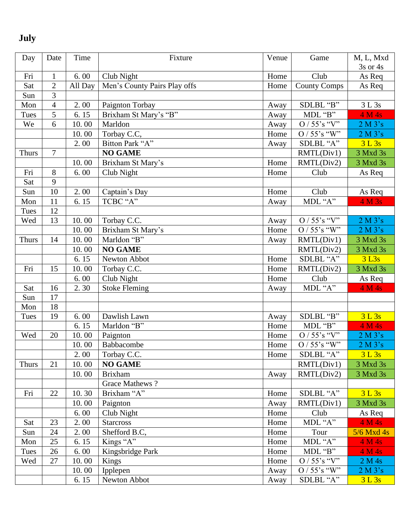#### **J uly**

| Day          | Date           | Time    | Fixture                      | Venue | Game                        | M, L, Mxd           |
|--------------|----------------|---------|------------------------------|-------|-----------------------------|---------------------|
|              |                |         |                              |       |                             | 3s or 4s            |
| Fri          | $\mathbf{1}$   | 6.00    | Club Night                   | Home  | Club                        | As Req              |
| Sat          | $\overline{2}$ | All Day | Men's County Pairs Play offs | Home  | <b>County Comps</b>         | As Req              |
| Sun          | 3              |         |                              |       |                             |                     |
| Mon          | 4              | 2.00    | Paignton Torbay              | Away  | SDLBL "B"                   | 3 L 3s              |
| Tues         | 5              | 6.15    | Brixham St Mary's "B"        | Away  | MDL "B"                     | 4 M 4s              |
| We           | 6              | 10.00   | Marldon                      | Away  | $O / 55$ 's "V"             | 2 M 3's             |
|              |                | 10.00   | Torbay C.C,                  | Home  | O / 55's "W"                | 2 M 3's             |
|              |                | 2.00    | Bitton Park "A"              | Away  | SDLBL "A"                   | 3 L 3s              |
| <b>Thurs</b> | $\overline{7}$ |         | <b>NO GAME</b>               |       | RMTL(Div1)                  | 3 Mxd 3s            |
|              |                | 10.00   | Brixham St Mary's            | Home  | RMTL(Div2)                  | 3 Mxd 3s            |
| Fri          | 8              | 6.00    | Club Night                   | Home  | Club                        | As Req              |
| Sat          | 9              |         |                              |       |                             |                     |
| Sun          | $10\,$         | 2.00    | Captain's Day                | Home  | Club                        | As Req              |
| Mon          | 11             | 6.15    | TCBC "A"                     | Away  | MDL "A"                     | 4 M 3s              |
| Tues         | 12             |         |                              |       |                             |                     |
| Wed          | 13             | 10.00   | Torbay C.C.                  | Away  | O / 55's "V"                | 2 M 3's             |
|              |                | 10.00   | Brixham St Mary's            | Home  | $O / 55$ 's "W"             | 2 M 3's             |
| <b>Thurs</b> | 14             | 10.00   | Marldon "B"                  | Away  | RMTL(Div1)                  | 3 Mxd 3s            |
|              |                | 10.00   | <b>NO GAME</b>               |       | RMTL(Div2)                  | 3 Mxd 3s            |
|              |                | 6.15    | Newton Abbot                 | Home  | SDLBL "A"                   | $3$ L <sub>3s</sub> |
| Fri          | 15             | 10.00   | Torbay C.C.                  | Home  | RMTL(Div2)                  | 3 Mxd 3s            |
|              |                | 6.00    | Club Night                   | Home  | Club                        | As Req              |
| Sat          | 16             | 2.30    | <b>Stoke Fleming</b>         | Away  | MDL "A"                     | 4 M 4s              |
| Sun          | 17             |         |                              |       |                             |                     |
| Mon          | 18             |         |                              |       |                             |                     |
| Tues         | 19             | 6.00    | Dawlish Lawn                 | Away  | SDLBL "B"                   | 3 L 3s              |
|              |                | 6.15    | Marldon "B"                  | Home  | MDL "B"                     | 4 M 4s              |
| Wed          | 20             | 10.00   | Paignton                     | Home  | $O / 55$ 's "V"             | 2 M 3's             |
|              |                | 10.00   | Babbacombe                   | Home  | O / 55's " $\overline{W}$ " | 2 M 3's             |
|              |                | 2.00    | Torbay C.C.                  | Home  | SDLBL "A"                   | 3L3s                |
| <b>Thurs</b> | 21             | 10.00   | <b>NO GAME</b>               |       | RMTL(Div1)                  | 3 Mxd 3s            |
|              |                | 10.00   | <b>Brixham</b>               | Away  | RMTL(Div2)                  | 3 Mxd 3s            |
|              |                |         | <b>Grace Mathews?</b>        |       |                             |                     |
| Fri          | 22             | 10.30   | Brixham "A"                  | Home  | SDLBL "A"                   | 3L3s                |
|              |                | 10.00   | Paignton                     | Away  | RMTL(Div1)                  | 3 Mxd 3s            |
|              |                | 6.00    | Club Night                   | Home  | Club                        | As Req              |
| Sat          | 23             | 2.00    | <b>Starcross</b>             | Home  | MDL "A"                     | 4 M 4s              |
| Sun          | 24             | 2.00    | Shefford B.C,                | Home  | Tour                        | $5/6$ Mxd 4s        |
| Mon          | 25             | 6.15    | Kings "A"                    | Home  | MDL "A"                     | 4 M 4s              |
| Tues         | 26             | 6.00    | Kingsbridge Park             | Home  | MDL "B"                     | 4 M 4s              |
| Wed          | 27             | 10.00   | Kings                        | Home  | $O / 55$ 's "V"             | 2 M 4s              |
|              |                | 10.00   | Ipplepen                     | Away  | $O / 55$ 's "W"             | 2 M 3's             |
|              |                | 6.15    | Newton Abbot                 | Away  | SDLBL "A"                   | 3 L 3s              |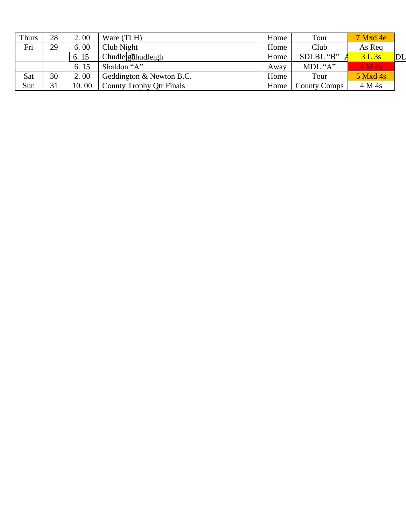| Thurs      | 28 | 2.00  | Ware (TLH)                      | Home | Tour                | $7$ Mxd 4e |    |
|------------|----|-------|---------------------------------|------|---------------------|------------|----|
| Fri        | 29 | 6.00  | Club Night                      | Home | Club                | As Req     |    |
|            |    | 6.15  | Chudleigthudleigh               | Home | SDLBL "B"           | 3 L 3s     | DL |
|            |    | 6.15  | Shaldon "A"                     | Away | MDL "A"             | 4 M 4s     |    |
| <u>Sat</u> | 30 | 2.00  | Geddington & Newton B.C.        | Home | Tour                | $5$ Mxd 4s |    |
| Sun        | 31 | 10.00 | <b>County Trophy Qtr Finals</b> | Home | <b>County Comps</b> | 4 M 4s     |    |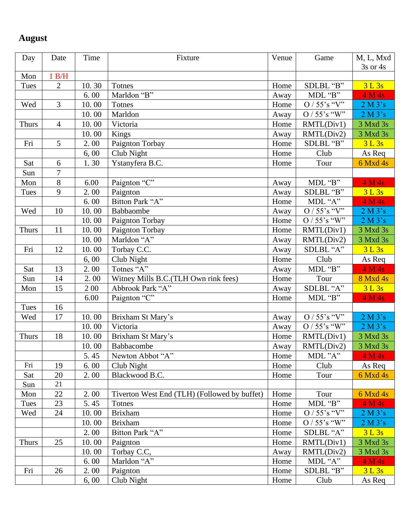### **August**

| Day          | Date           | Time  | Fixture                                      | Venue | Game                  | M, L, Mxd    |
|--------------|----------------|-------|----------------------------------------------|-------|-----------------------|--------------|
| Mon          | 1 B/H          |       |                                              |       |                       | $3s$ or $4s$ |
| Tues         | $\overline{2}$ | 10.30 | Totnes                                       | Home  | SDLBL "B"             | 3L3s         |
|              |                | 6.00  | Marldon "B"                                  | Away  | MDL "B"               | 4 M 4s       |
| Wed          | 3              | 10.00 | <b>Totnes</b>                                | Home  | $O / 55$ 's "V"       | 2 M 3's      |
|              |                | 10.00 | Marldon                                      | Away  | $O / 55$ 's "W"       | 2 M 3's      |
| <b>Thurs</b> | $\overline{4}$ | 10.00 | Victoria                                     | Home  | RMTL(Div1)            | 3 Mxd 3s     |
|              |                | 10.00 | Kings                                        | Away  | RMTL(Div2)            | 3 Mxd 3s     |
| Fri          | 5              | 2.00  | Paignton Torbay                              | Home  | SDLBL "B"             | 3L3s         |
|              |                | 6,00  | Club Night                                   | Home  | Club                  | As Req       |
| Sat          | 6              | 1.30  | Ystanyfera B.C.                              | Home  | Tour                  | 6 Mxd 4s     |
| Sun          | $\overline{7}$ |       |                                              |       |                       |              |
| Mon          | 8              | 6.00  | Paignton "C"                                 | Away  | MDL "B"               | 4 M 4s       |
| Tues         | 9              | 2.00  | Paignton                                     | Away  | SDLBL "B"             | 3L3s         |
|              |                | 6.00  | Bitton Park "A"                              | Home  | MDL "A"               | 4 M 4s       |
| Wed          | 10             | 10.00 | Babbaombe                                    | Away  | O / 55's "V"          | 2 M 3's      |
|              |                | 10.00 | Paignton Torbay                              | Home  | $O / 55$ 's "W"       | 2 M 3's      |
| <b>Thurs</b> | 11             | 10.00 | Paignton Torbay                              | Home  | RMTL(Div1)            | 3 Mxd 3s     |
|              |                | 10.00 | Marldon "A"                                  | Away  | RMTL(Div2)            | 3 Mxd 3s     |
| Fri          | 12             | 10.00 | Torbay C.C.                                  | Away  | SDLBL "A"             | 3L3s         |
|              |                | 6,00  | Club Night                                   | Home  | Club                  | As Req       |
| Sat          | 13             | 2.00  | Totnes "A"                                   | Away  | MDL "B"               | 4 M 4s       |
| Sun          | 14             | 2.00  | Witney Mills B.C. (TLH Own rink fees)        | Home  | Tour                  | 8 Mxd 4s     |
| Mon          | 15             | 2 0 0 | Abbrook Park "A"                             | Away  | SDLBL "A"             | 3L3s         |
|              |                | 6.00  | Paignton "C"                                 | Home  | MDL "B"               | 4 M 4s       |
| Tues         | 16             |       |                                              |       |                       |              |
| Wed          | 17             | 10.00 | Brixham St Mary's                            | Away  | $O / 55$ 's "V"       | 2 M 3's      |
|              |                | 10.00 | Victoria                                     | Away  | $O / 55$ 's "W"       | 2 M 3's      |
| <b>Thurs</b> | 18             | 10.00 | Brixham St Mary's                            | Home  | RMTL(Div1)            | 3 Mxd 3s     |
|              |                | 10.00 | Babbacombe                                   | Away  | RMTL(Div2)            | 3 Mxd 3s     |
|              |                | 5.45  | Newton Abbot "A"                             | Home  | MDL "A"               | 4 M 4s       |
| Fri          | 19             | 6.00  | Club Night                                   | Home  | Club                  | As Req       |
| Sat          | 20             | 2.00  | Blackwood B.C.                               | Home  | Tour                  | 6 Mxd 4s     |
| Sun          | 21             |       |                                              |       |                       |              |
| Mon          | 22             | 2.00  | Tiverton West End (TLH) (Followed by buffet) | Home  | Tour                  | $6$ Mxd 4s   |
| Tues         | 23             | 5.45  | Totnes                                       | Home  | MDL "B"               | 4 M 4s       |
| Wed          | 24             | 10.00 | <b>Brixham</b>                               | Home  | $O / 55$ 's "V"       | 2 M 3's      |
|              |                | 10.00 | <b>Brixham</b>                               | Home  | $O / 55$ 's "W"       | 2 M 3's      |
|              |                | 2.00  | Bitton Park "A"                              | Home  | SDLBL "A"             | 3L3s         |
| <b>Thurs</b> | 25             | 10.00 | Paignton                                     | Home  | RMTL(Div1)            | 3 Mxd 3s     |
|              |                | 10.00 | Torbay C.C,                                  | Away  | RMTL(Div2)            | 3 Mxd 3s     |
|              |                | 6.00  | Marldon "A"                                  | Home  | MDL " $\overline{A"}$ | 4 M 4s       |
| Fri          | 26             | 2.00  | Paignton                                     | Home  | SDLBL "B"             | 3L3s         |
|              |                | 6,00  | Club Night                                   | Home  | Club                  | As Req       |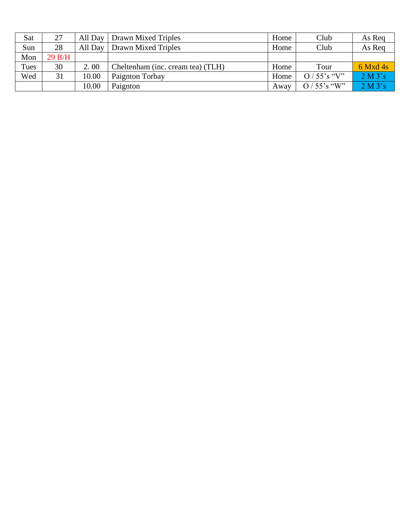| Sat         | 27     | All Day | Drawn Mixed Triples               | Home | Club            | As Req     |
|-------------|--------|---------|-----------------------------------|------|-----------------|------------|
| Sun         | 28     | All Day | Drawn Mixed Triples               | Home | Club            | As Req     |
| Mon         | 29 B/H |         |                                   |      |                 |            |
| <b>Tues</b> | 30     | 2.00    | Cheltenham (inc. cream tea) (TLH) | Home | Tour            | $6$ Mxd 4s |
| Wed         | 31     | 10.00   | Paignton Torbay                   | Home | $O/55$ 's "V"   | 2 M 3's    |
|             |        | 10.00   | Paignton                          | Away | $O / 55$ 's "W" | 2 M 3's    |